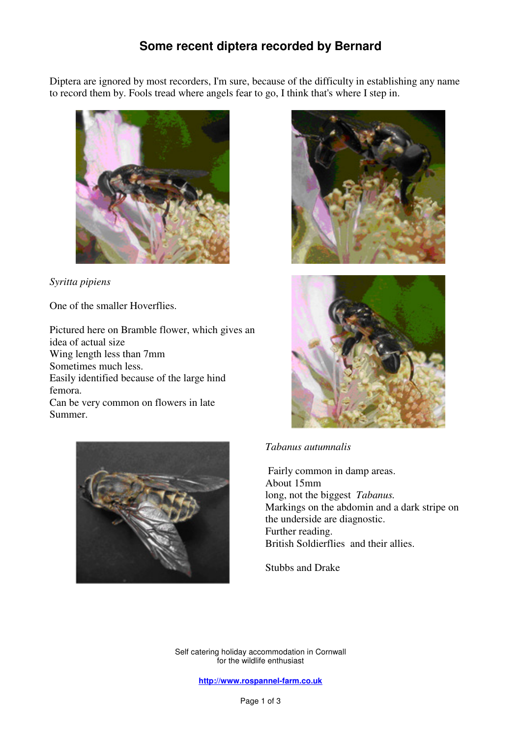## **Some recent diptera recorded by Bernard**

Diptera are ignored by most recorders, I'm sure, because of the difficulty in establishing any name to record them by. Fools tread where angels fear to go, I think that's where I step in.



*Syritta pipiens* 

One of the smaller Hoverflies.

Pictured here on Bramble flower, which gives an idea of actual size Wing length less than 7mm Sometimes much less. Easily identified because of the large hind femora. Can be very common on flowers in late Summer.







## *Tabanus autumnalis*

Fairly common in damp areas. About 15mm long, not the biggest *Tabanus.*  Markings on the abdomin and a dark stripe on the underside are diagnostic. Further reading. British Soldierflies and their allies.

Stubbs and Drake

Self catering holiday accommodation in Cornwall for the wildlife enthusiast

**http://www.rospannel-farm.co.uk**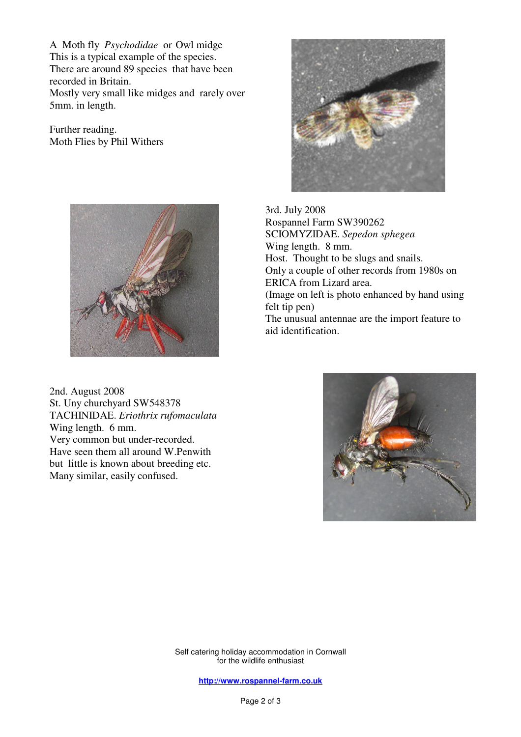A Moth fly *Psychodidae* or Owl midge This is a typical example of the species. There are around 89 species that have been recorded in Britain. Mostly very small like midges and rarely over

5mm. in length.

Further reading. Moth Flies by Phil Withers



2nd. August 2008 St. Uny churchyard SW548378 TACHINIDAE. *Eriothrix rufomaculata*  Wing length. 6 mm. Very common but under-recorded. Have seen them all around W.Penwith but little is known about breeding etc. Many similar, easily confused.



 3rd. July 2008 Rospannel Farm SW390262 SCIOMYZIDAE. *Sepedon sphegea*  Wing length. 8 mm. Host. Thought to be slugs and snails. Only a couple of other records from 1980s on ERICA from Lizard area. (Image on left is photo enhanced by hand using felt tip pen) The unusual antennae are the import feature to aid identification.



Self catering holiday accommodation in Cornwall for the wildlife enthusiast

**http://www.rospannel-farm.co.uk**